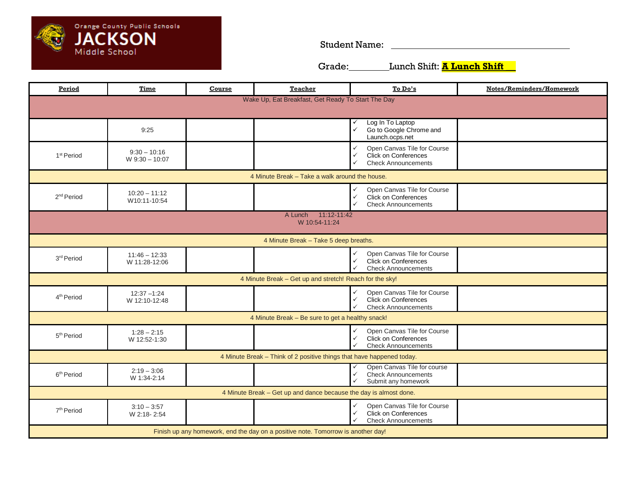

Student Name:

Grade: Lunch Shift: **A Lunch Shift** \_\_

| Period                                                                           | <b>Time</b>                      | Course | <b>Teacher</b> | To Do's                                                                                                                                  | Notes/Reminders/Homework |  |  |
|----------------------------------------------------------------------------------|----------------------------------|--------|----------------|------------------------------------------------------------------------------------------------------------------------------------------|--------------------------|--|--|
| Wake Up, Eat Breakfast, Get Ready To Start The Day                               |                                  |        |                |                                                                                                                                          |                          |  |  |
|                                                                                  | 9:25                             |        |                | Log In To Laptop<br>✓<br>$\checkmark$<br>Go to Google Chrome and<br>Launch.ocps.net                                                      |                          |  |  |
| 1 <sup>st</sup> Period                                                           | $9:30 - 10:16$<br>W 9:30 - 10:07 |        |                | Open Canvas Tile for Course<br>$\checkmark$<br>Click on Conferences<br>$\checkmark$<br><b>Check Announcements</b><br>✓                   |                          |  |  |
| 4 Minute Break – Take a walk around the house.                                   |                                  |        |                |                                                                                                                                          |                          |  |  |
| 2 <sup>nd</sup> Period                                                           | $10:20 - 11:12$<br>W10:11-10:54  |        |                | Open Canvas Tile for Course<br>✓<br>$\checkmark$<br><b>Click on Conferences</b><br>$\checkmark$<br><b>Check Announcements</b>            |                          |  |  |
| A Lunch 11:12-11:42<br>W 10:54-11:24                                             |                                  |        |                |                                                                                                                                          |                          |  |  |
| 4 Minute Break - Take 5 deep breaths.                                            |                                  |        |                |                                                                                                                                          |                          |  |  |
| 3rd Period                                                                       | $11:46 - 12:33$<br>W 11:28-12:06 |        |                | Open Canvas Tile for Course<br>$\checkmark$<br>$\checkmark$<br>Click on Conferences<br>✓<br><b>Check Announcements</b>                   |                          |  |  |
| 4 Minute Break - Get up and stretch! Reach for the sky!                          |                                  |        |                |                                                                                                                                          |                          |  |  |
| 4 <sup>th</sup> Period                                                           | $12:37 - 1:24$<br>W 12:10-12:48  |        |                | Open Canvas Tile for Course<br>$\checkmark$<br>$\checkmark$<br><b>Click on Conferences</b><br>$\checkmark$<br><b>Check Announcements</b> |                          |  |  |
| 4 Minute Break - Be sure to get a healthy snack!                                 |                                  |        |                |                                                                                                                                          |                          |  |  |
| 5 <sup>th</sup> Period                                                           | $1:28 - 2:15$<br>W 12:52-1:30    |        |                | $\checkmark$<br>Open Canvas Tile for Course<br>$\checkmark$<br>Click on Conferences<br>✓<br><b>Check Announcements</b>                   |                          |  |  |
| 4 Minute Break - Think of 2 positive things that have happened today.            |                                  |        |                |                                                                                                                                          |                          |  |  |
| 6 <sup>th</sup> Period                                                           | $2:19 - 3:06$<br>W 1:34-2:14     |        |                | Open Canvas Tile for course<br>✓<br>$\checkmark$<br><b>Check Announcements</b><br>$\checkmark$<br>Submit any homework                    |                          |  |  |
| 4 Minute Break - Get up and dance because the day is almost done.                |                                  |        |                |                                                                                                                                          |                          |  |  |
| 7 <sup>th</sup> Period                                                           | $3:10 - 3:57$<br>W 2:18-2:54     |        |                | $\checkmark$<br>Open Canvas Tile for Course<br>$\checkmark$<br><b>Click on Conferences</b><br>✓<br><b>Check Announcements</b>            |                          |  |  |
| Finish up any homework, end the day on a positive note. Tomorrow is another day! |                                  |        |                |                                                                                                                                          |                          |  |  |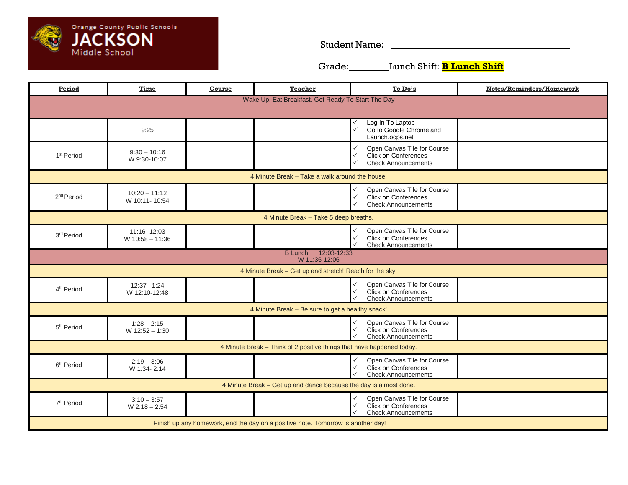

Student Name:

Grade: Lunch Shift: **B Lunch Shift**

| Period                                                                           | Time                              | <b>Course</b> | <b>Teacher</b> | To Do's                                                                                                                                  | Notes/Reminders/Homework |  |  |
|----------------------------------------------------------------------------------|-----------------------------------|---------------|----------------|------------------------------------------------------------------------------------------------------------------------------------------|--------------------------|--|--|
| Wake Up, Eat Breakfast, Get Ready To Start The Day                               |                                   |               |                |                                                                                                                                          |                          |  |  |
|                                                                                  | 9:25                              |               |                | Log In To Laptop<br>✓<br>$\checkmark$<br>Go to Google Chrome and<br>Launch.ocps.net                                                      |                          |  |  |
| 1 <sup>st</sup> Period                                                           | $9:30 - 10:16$<br>W 9:30-10:07    |               |                | $\checkmark$<br>Open Canvas Tile for Course<br><b>Click on Conferences</b><br>$\checkmark$<br><b>Check Announcements</b><br>$\checkmark$ |                          |  |  |
| 4 Minute Break - Take a walk around the house.                                   |                                   |               |                |                                                                                                                                          |                          |  |  |
| 2 <sup>nd</sup> Period                                                           | $10:20 - 11:12$<br>W 10:11-10:54  |               |                | Open Canvas Tile for Course<br>$\checkmark$<br>$\checkmark$<br>Click on Conferences<br><b>Check Announcements</b><br>✓                   |                          |  |  |
| 4 Minute Break - Take 5 deep breaths.                                            |                                   |               |                |                                                                                                                                          |                          |  |  |
| 3 <sup>rd</sup> Period                                                           | 11:16 -12:03<br>$W$ 10:58 - 11:36 |               |                | Open Canvas Tile for Course<br>$\checkmark$<br><b>Click on Conferences</b><br>$\checkmark$<br><b>Check Announcements</b>                 |                          |  |  |
| B Lunch 12:03-12:33<br>W 11:36-12:06                                             |                                   |               |                |                                                                                                                                          |                          |  |  |
| 4 Minute Break - Get up and stretch! Reach for the sky!                          |                                   |               |                |                                                                                                                                          |                          |  |  |
| 4 <sup>th</sup> Period                                                           | $12:37 - 1:24$<br>W 12:10-12:48   |               |                | $\checkmark$<br>Open Canvas Tile for Course<br><b>Click on Conferences</b><br>$\checkmark$<br><b>Check Announcements</b><br>$\checkmark$ |                          |  |  |
| 4 Minute Break - Be sure to get a healthy snack!                                 |                                   |               |                |                                                                                                                                          |                          |  |  |
| 5 <sup>th</sup> Period                                                           | $1:28 - 2:15$<br>$W$ 12:52 - 1:30 |               |                | Open Canvas Tile for Course<br>$\checkmark$<br>$\checkmark$<br><b>Click on Conferences</b><br>$\checkmark$<br><b>Check Announcements</b> |                          |  |  |
| 4 Minute Break - Think of 2 positive things that have happened today.            |                                   |               |                |                                                                                                                                          |                          |  |  |
| 6 <sup>th</sup> Period                                                           | $2:19 - 3:06$<br>W 1:34-2:14      |               |                | Open Canvas Tile for Course<br>$\checkmark$<br><b>Click on Conferences</b><br>$\checkmark$<br><b>Check Announcements</b><br>$\checkmark$ |                          |  |  |
| 4 Minute Break - Get up and dance because the day is almost done.                |                                   |               |                |                                                                                                                                          |                          |  |  |
| 7 <sup>th</sup> Period                                                           | $3:10 - 3:57$<br>$W 2:18 - 2:54$  |               |                | Open Canvas Tile for Course<br>$\checkmark$<br>$\checkmark$<br><b>Click on Conferences</b><br>✓<br><b>Check Announcements</b>            |                          |  |  |
| Finish up any homework, end the day on a positive note. Tomorrow is another day! |                                   |               |                |                                                                                                                                          |                          |  |  |